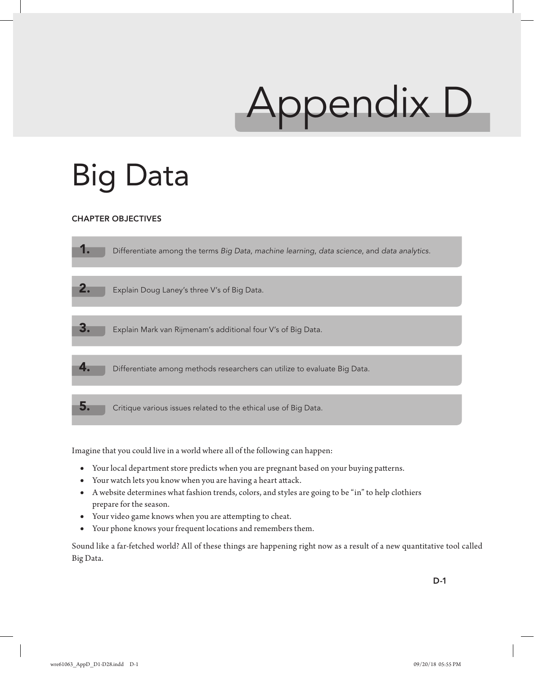# Appendix D

# Big Data

### CHAPTER OBJECTIVES

| Differentiate among the terms Big Data, machine learning, data science, and data analytics. |
|---------------------------------------------------------------------------------------------|
|                                                                                             |
| Explain Doug Laney's three V's of Big Data.                                                 |
|                                                                                             |
| Explain Mark van Rijmenam's additional four V's of Big Data.                                |
|                                                                                             |
| Differentiate among methods researchers can utilize to evaluate Big Data.                   |
|                                                                                             |
| Critique various issues related to the ethical use of Big Data.                             |

Imagine that you could live in a world where all of the following can happen:

- **•** Your local department store predicts when you are pregnant based on your buying patterns.
- **•** Your watch lets you know when you are having a heart attack.
- **•** A website determines what fashion trends, colors, and styles are going to be "in" to help clothiers prepare for the season.
- **•** Your video game knows when you are attempting to cheat.
- **•** Your phone knows your frequent locations and remembers them.

Sound like a far-fetched world? All of these things are happening right now as a result of a new quantitative tool called Big Data.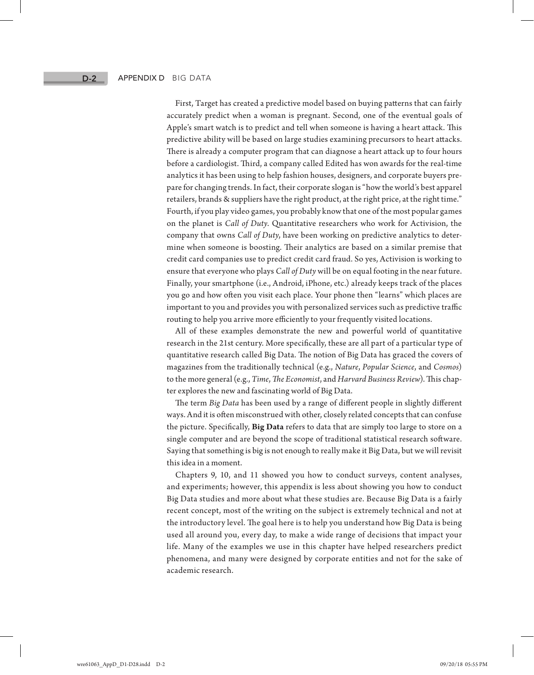First, Target has created a predictive model based on buying patterns that can fairly accurately predict when a woman is pregnant. Second, one of the eventual goals of Apple's smart watch is to predict and tell when someone is having a heart attack. This predictive ability will be based on large studies examining precursors to heart attacks. There is already a computer program that can diagnose a heart attack up to four hours before a cardiologist. Third, a company called Edited has won awards for the real-time analytics it has been using to help fashion houses, designers, and corporate buyers prepare for changing trends. In fact, their corporate slogan is "how the world's best apparel retailers, brands & suppliers have the right product, at the right price, at the right time." Fourth, if you play video games, you probably know that one of the most popular games on the planet is *Call of Duty*. Quantitative researchers who work for Activision, the company that owns *Call of Duty*, have been working on predictive analytics to determine when someone is boosting. Their analytics are based on a similar premise that credit card companies use to predict credit card fraud. So yes, Activision is working to ensure that everyone who plays *Call of Duty* will be on equal footing in the near future. Finally, your smartphone (i.e., Android, iPhone, etc.) already keeps track of the places you go and how often you visit each place. Your phone then "learns" which places are important to you and provides you with personalized services such as predictive traffic routing to help you arrive more efficiently to your frequently visited locations.

All of these examples demonstrate the new and powerful world of quantitative research in the 21st century. More specifically, these are all part of a particular type of quantitative research called Big Data. The notion of Big Data has graced the covers of magazines from the traditionally technical (e.g., *Nature*, *Popular Science*, and *Cosmos*) to the more general (e.g., *Time*, *The Economist*, and *Harvard Business Review*). This chapter explores the new and fascinating world of Big Data.

The term *Big Data* has been used by a range of different people in slightly different ways. And it is often misconstrued with other, closely related concepts that can confuse the picture. Specifically, **Big Data** refers to data that are simply too large to store on a single computer and are beyond the scope of traditional statistical research software. Saying that something is big is not enough to really make it Big Data, but we will revisit this idea in a moment.

Chapters 9, 10, and 11 showed you how to conduct surveys, content analyses, and experiments; however, this appendix is less about showing you how to conduct Big Data studies and more about what these studies are. Because Big Data is a fairly recent concept, most of the writing on the subject is extremely technical and not at the introductory level. The goal here is to help you understand how Big Data is being used all around you, every day, to make a wide range of decisions that impact your life. Many of the examples we use in this chapter have helped researchers predict phenomena, and many were designed by corporate entities and not for the sake of academic research.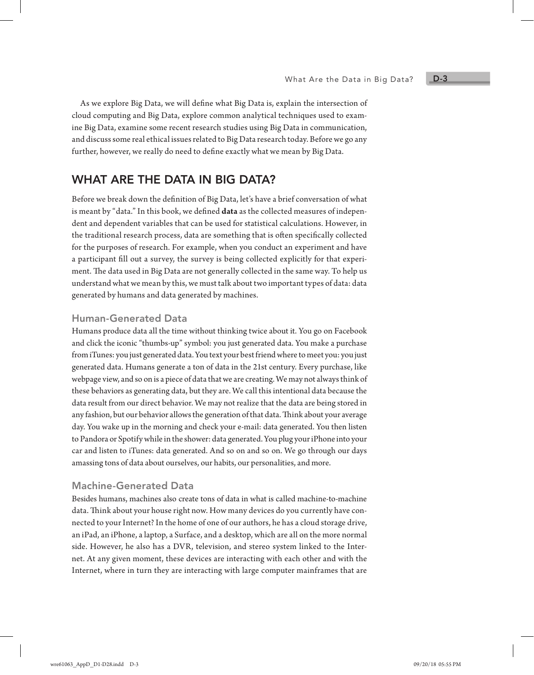As we explore Big Data, we will define what Big Data is, explain the intersection of cloud computing and Big Data, explore common analytical techniques used to examine Big Data, examine some recent research studies using Big Data in communication, and discuss some real ethical issues related to Big Data research today. Before we go any further, however, we really do need to define exactly what we mean by Big Data.

# WHAT ARE THE DATA IN BIG DATA?

Before we break down the definition of Big Data, let's have a brief conversation of what is meant by "data." In this book, we defined **data** as the collected measures of independent and dependent variables that can be used for statistical calculations. However, in the traditional research process, data are something that is often specifically collected for the purposes of research. For example, when you conduct an experiment and have a participant fill out a survey, the survey is being collected explicitly for that experiment. The data used in Big Data are not generally collected in the same way. To help us understand what we mean by this, we must talk about two important types of data: data generated by humans and data generated by machines.

#### Human-Generated Data

Humans produce data all the time without thinking twice about it. You go on Facebook and click the iconic "thumbs-up" symbol: you just generated data. You make a purchase from iTunes: you just generated data. You text your best friend where to meet you: you just generated data. Humans generate a ton of data in the 21st century. Every purchase, like webpage view, and so on is a piece of data that we are creating. We may not always think of these behaviors as generating data, but they are. We call this intentional data because the data result from our direct behavior. We may not realize that the data are being stored in any fashion, but our behavior allows the generation of that data. Think about your average day. You wake up in the morning and check your e-mail: data generated. You then listen to Pandora or Spotify while in the shower: data generated. You plug your iPhone into your car and listen to iTunes: data generated. And so on and so on. We go through our days amassing tons of data about ourselves, our habits, our personalities, and more.

#### Machine-Generated Data

Besides humans, machines also create tons of data in what is called machine-to-machine data. Think about your house right now. How many devices do you currently have connected to your Internet? In the home of one of our authors, he has a cloud storage drive, an iPad, an iPhone, a laptop, a Surface, and a desktop, which are all on the more normal side. However, he also has a DVR, television, and stereo system linked to the Internet. At any given moment, these devices are interacting with each other and with the Internet, where in turn they are interacting with large computer mainframes that are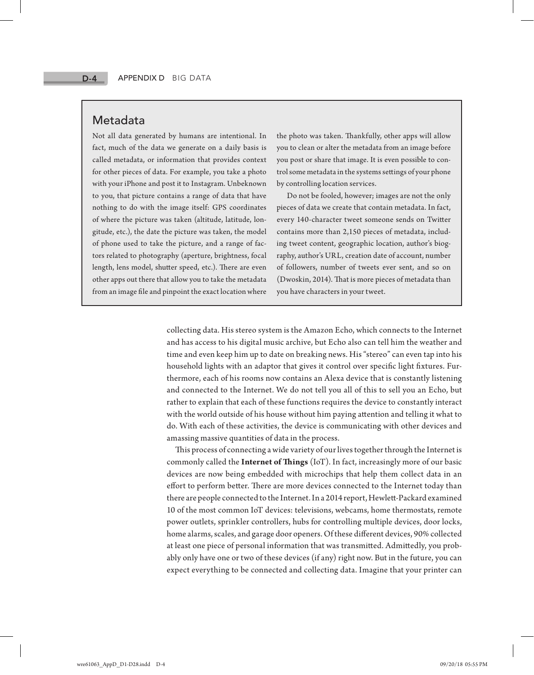# Metadata

Not all data generated by humans are intentional. In fact, much of the data we generate on a daily basis is called metadata, or information that provides context for other pieces of data. For example, you take a photo with your iPhone and post it to Instagram. Unbeknown to you, that picture contains a range of data that have nothing to do with the image itself: GPS coordinates of where the picture was taken (altitude, latitude, longitude, etc.), the date the picture was taken, the model of phone used to take the picture, and a range of factors related to photography (aperture, brightness, focal length, lens model, shutter speed, etc.). There are even other apps out there that allow you to take the metadata from an image file and pinpoint the exact location where

the photo was taken. Thankfully, other apps will allow you to clean or alter the metadata from an image before you post or share that image. It is even possible to control some metadata in the systems settings of your phone by controlling location services.

Do not be fooled, however; images are not the only pieces of data we create that contain metadata. In fact, every 140-character tweet someone sends on Twitter contains more than 2,150 pieces of metadata, including tweet content, geographic location, author's biography, author's URL, creation date of account, number of followers, number of tweets ever sent, and so on (Dwoskin, 2014). That is more pieces of metadata than you have characters in your tweet.

collecting data. His stereo system is the Amazon Echo, which connects to the Internet and has access to his digital music archive, but Echo also can tell him the weather and time and even keep him up to date on breaking news. His "stereo" can even tap into his household lights with an adaptor that gives it control over specific light fixtures. Furthermore, each of his rooms now contains an Alexa device that is constantly listening and connected to the Internet. We do not tell you all of this to sell you an Echo, but rather to explain that each of these functions requires the device to constantly interact with the world outside of his house without him paying attention and telling it what to do. With each of these activities, the device is communicating with other devices and amassing massive quantities of data in the process.

This process of connecting a wide variety of our lives together through the Internet is commonly called the **Internet of Things** (IoT). In fact, increasingly more of our basic devices are now being embedded with microchips that help them collect data in an effort to perform better. There are more devices connected to the Internet today than there are people connected to the Internet. In a 2014 report, Hewlett-Packard examined 10 of the most common IoT devices: televisions, webcams, home thermostats, remote power outlets, sprinkler controllers, hubs for controlling multiple devices, door locks, home alarms, scales, and garage door openers. Of these different devices, 90% collected at least one piece of personal information that was transmitted. Admittedly, you probably only have one or two of these devices (if any) right now. But in the future, you can expect everything to be connected and collecting data. Imagine that your printer can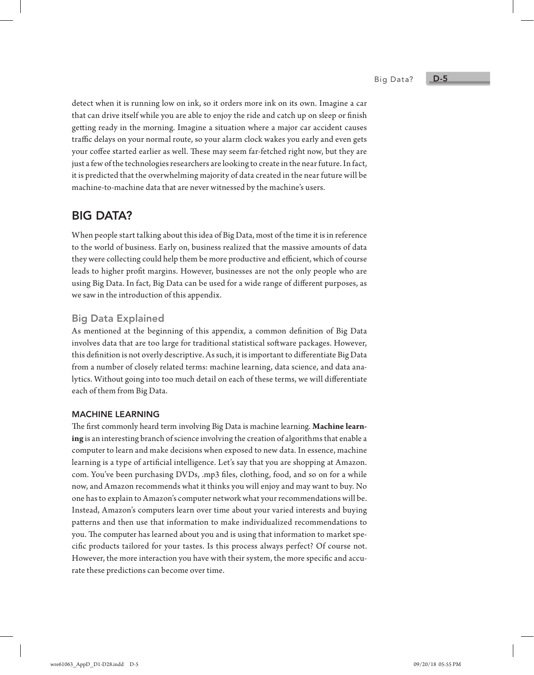Big Data?

detect when it is running low on ink, so it orders more ink on its own. Imagine a car that can drive itself while you are able to enjoy the ride and catch up on sleep or finish getting ready in the morning. Imagine a situation where a major car accident causes traffic delays on your normal route, so your alarm clock wakes you early and even gets your coffee started earlier as well. These may seem far-fetched right now, but they are just a few of the technologies researchers are looking to create in the near future. In fact, it is predicted that the overwhelming majority of data created in the near future will be machine-to-machine data that are never witnessed by the machine's users.

# BIG DATA?

When people start talking about this idea of Big Data, most of the time it is in reference to the world of business. Early on, business realized that the massive amounts of data they were collecting could help them be more productive and efficient, which of course leads to higher profit margins. However, businesses are not the only people who are using Big Data. In fact, Big Data can be used for a wide range of different purposes, as we saw in the introduction of this appendix.

# Big Data Explained

As mentioned at the beginning of this appendix, a common definition of Big Data involves data that are too large for traditional statistical software packages. However, this definition is not overly descriptive. As such, it is important to differentiate Big Data from a number of closely related terms: machine learning, data science, and data analytics. Without going into too much detail on each of these terms, we will differentiate each of them from Big Data.

#### MACHINE LEARNING

The first commonly heard term involving Big Data is machine learning. **Machine learning** is an interesting branch of science involving the creation of algorithms that enable a computer to learn and make decisions when exposed to new data. In essence, machine learning is a type of artificial intelligence. Let's say that you are shopping at Amazon. com. You've been purchasing DVDs, .mp3 files, clothing, food, and so on for a while now, and Amazon recommends what it thinks you will enjoy and may want to buy. No one has to explain to Amazon's computer network what your recommendations will be. Instead, Amazon's computers learn over time about your varied interests and buying patterns and then use that information to make individualized recommendations to you. The computer has learned about you and is using that information to market specific products tailored for your tastes. Is this process always perfect? Of course not. However, the more interaction you have with their system, the more specific and accurate these predictions can become over time.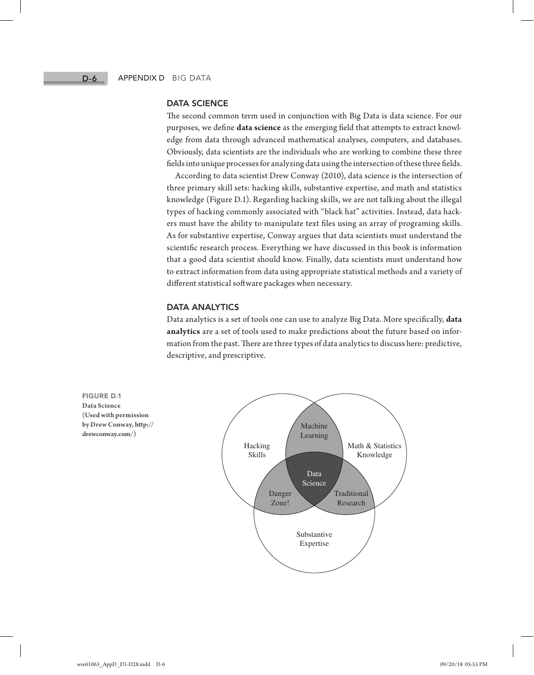#### DATA SCIENCE

The second common term used in conjunction with Big Data is data science. For our purposes, we define **data science** as the emerging field that attempts to extract knowledge from data through advanced mathematical analyses, computers, and databases. Obviously, data scientists are the individuals who are working to combine these three fields into unique processes for analyzing data using the intersection of these three fields.

According to data scientist Drew Conway (2010), data science is the intersection of three primary skill sets: hacking skills, substantive expertise, and math and statistics knowledge (Figure D.1). Regarding hacking skills, we are not talking about the illegal types of hacking commonly associated with "black hat" activities. Instead, data hackers must have the ability to manipulate text files using an array of programing skills. As for substantive expertise, Conway argues that data scientists must understand the scientific research process. Everything we have discussed in this book is information that a good data scientist should know. Finally, data scientists must understand how to extract information from data using appropriate statistical methods and a variety of different statistical software packages when necessary.

#### DATA ANALYTICS

Data analytics is a set of tools one can use to analyze Big Data. More specifically, **data analytics** are a set of tools used to make predictions about the future based on information from the past. There are three types of data analytics to discuss here: predictive, descriptive, and prescriptive.

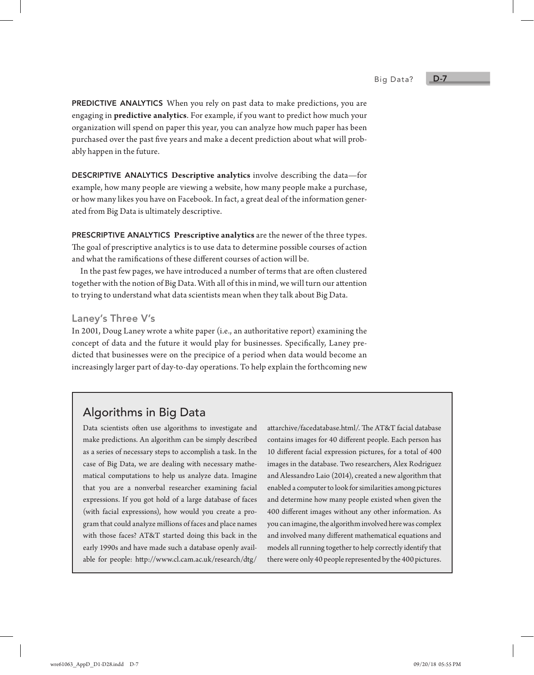PREDICTIVE ANALYTICS When you rely on past data to make predictions, you are engaging in **predictive analytics**. For example, if you want to predict how much your organization will spend on paper this year, you can analyze how much paper has been purchased over the past five years and make a decent prediction about what will probably happen in the future.

DESCRIPTIVE ANALYTICS **Descriptive analytics** involve describing the data—for example, how many people are viewing a website, how many people make a purchase, or how many likes you have on Facebook. In fact, a great deal of the information generated from Big Data is ultimately descriptive.

PRESCRIPTIVE ANALYTICS **Prescriptive analytics** are the newer of the three types. The goal of prescriptive analytics is to use data to determine possible courses of action and what the ramifications of these different courses of action will be.

In the past few pages, we have introduced a number of terms that are often clustered together with the notion of Big Data. With all of this in mind, we will turn our attention to trying to understand what data scientists mean when they talk about Big Data.

#### Laney's Three V's

In 2001, Doug Laney wrote a white paper (i.e., an authoritative report) examining the concept of data and the future it would play for businesses. Specifically, Laney predicted that businesses were on the precipice of a period when data would become an increasingly larger part of day-to-day operations. To help explain the forthcoming new

# Algorithms in Big Data

Data scientists often use algorithms to investigate and make predictions. An algorithm can be simply described as a series of necessary steps to accomplish a task. In the case of Big Data, we are dealing with necessary mathematical computations to help us analyze data. Imagine that you are a nonverbal researcher examining facial expressions. If you got hold of a large database of faces (with facial expressions), how would you create a program that could analyze millions of faces and place names with those faces? AT&T started doing this back in the early 1990s and have made such a database openly available for people: http://www.cl.cam.ac.uk/research/dtg/

attarchive/facedatabase.html/. The AT&T facial database contains images for 40 different people. Each person has 10 different facial expression pictures, for a total of 400 images in the database. Two researchers, Alex Rodriguez and Alessandro Laio (2014), created a new algorithm that enabled a computer to look for similarities among pictures and determine how many people existed when given the 400 different images without any other information. As you can imagine, the algorithm involved here was complex and involved many different mathematical equations and models all running together to help correctly identify that there were only 40 people represented by the 400 pictures.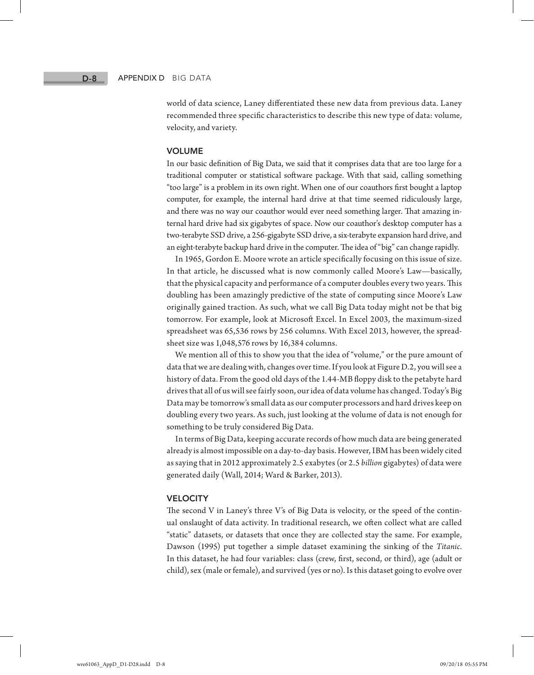world of data science, Laney differentiated these new data from previous data. Laney recommended three specific characteristics to describe this new type of data: volume, velocity, and variety.

#### VOLUME

In our basic definition of Big Data, we said that it comprises data that are too large for a traditional computer or statistical software package. With that said, calling something "too large" is a problem in its own right. When one of our coauthors first bought a laptop computer, for example, the internal hard drive at that time seemed ridiculously large, and there was no way our coauthor would ever need something larger. That amazing internal hard drive had six gigabytes of space. Now our coauthor's desktop computer has a two-terabyte SSD drive, a 256-gigabyte SSD drive, a six-terabyte expansion hard drive, and an eight-terabyte backup hard drive in the computer. The idea of "big" can change rapidly.

In 1965, Gordon E. Moore wrote an article specifically focusing on this issue of size. In that article, he discussed what is now commonly called Moore's Law—basically, that the physical capacity and performance of a computer doubles every two years. This doubling has been amazingly predictive of the state of computing since Moore's Law originally gained traction. As such, what we call Big Data today might not be that big tomorrow. For example, look at Microsoft Excel. In Excel 2003, the maximum-sized spreadsheet was 65,536 rows by 256 columns. With Excel 2013, however, the spreadsheet size was 1,048,576 rows by 16,384 columns.

We mention all of this to show you that the idea of "volume," or the pure amount of data that we are dealing with, changes over time. If you look at Figure D.2, you will see a history of data. From the good old days of the 1.44-MB floppy disk to the petabyte hard drives that all of us will see fairly soon, our idea of data volume has changed. Today's Big Data may be tomorrow's small data as our computer processors and hard drives keep on doubling every two years. As such, just looking at the volume of data is not enough for something to be truly considered Big Data.

In terms of Big Data, keeping accurate records of how much data are being generated already is almost impossible on a day-to-day basis. However, IBM has been widely cited as saying that in 2012 approximately 2.5 exabytes (or 2.5 *billion* gigabytes) of data were generated daily (Wall, 2014; Ward & Barker, 2013).

#### **VELOCITY**

The second V in Laney's three V's of Big Data is velocity, or the speed of the continual onslaught of data activity. In traditional research, we often collect what are called "static" datasets, or datasets that once they are collected stay the same. For example, Dawson (1995) put together a simple dataset examining the sinking of the *Titanic*. In this dataset, he had four variables: class (crew, first, second, or third), age (adult or child), sex (male or female), and survived (yes or no). Is this dataset going to evolve over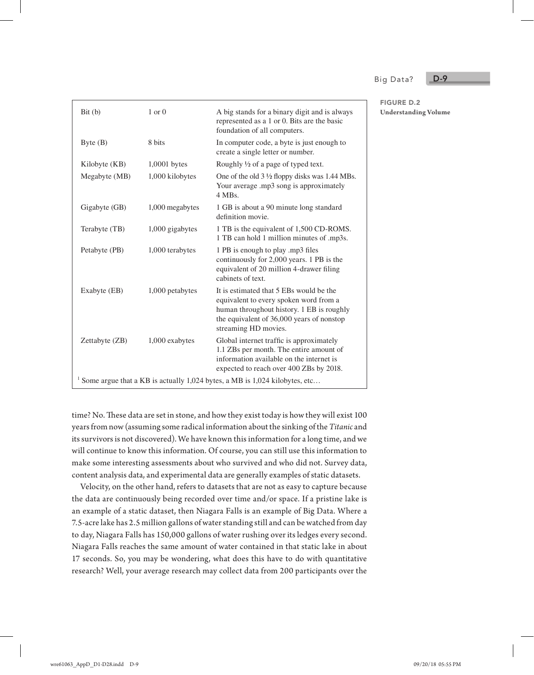Big Data?

FIGURE D.2

**Understanding Volume**

D-9

| Bit(b)                                                                     | $1$ or $0$      | A big stands for a binary digit and is always<br>represented as a 1 or 0. Bits are the basic<br>foundation of all computers.                                                                        |  |  |  |
|----------------------------------------------------------------------------|-----------------|-----------------------------------------------------------------------------------------------------------------------------------------------------------------------------------------------------|--|--|--|
| Byte $(B)$                                                                 | 8 bits          | In computer code, a byte is just enough to<br>create a single letter or number.                                                                                                                     |  |  |  |
| Kilobyte (KB)                                                              | 1,0001 bytes    | Roughly $\frac{1}{2}$ of a page of typed text.                                                                                                                                                      |  |  |  |
| Megabyte (MB)                                                              | 1,000 kilobytes | One of the old $3\frac{1}{2}$ floppy disks was 1.44 MBs.<br>Your average .mp3 song is approximately<br>4 MBs.                                                                                       |  |  |  |
| Gigabyte (GB)                                                              | 1,000 megabytes | 1 GB is about a 90 minute long standard<br>definition movie.                                                                                                                                        |  |  |  |
| Terabyte (TB)                                                              | 1,000 gigabytes | 1 TB is the equivalent of 1,500 CD-ROMS.<br>1 TB can hold 1 million minutes of .mp3s.                                                                                                               |  |  |  |
| Petabyte (PB)                                                              | 1,000 terabytes | 1 PB is enough to play .mp3 files<br>continuously for 2,000 years. 1 PB is the<br>equivalent of 20 million 4-drawer filing<br>cabinets of text.                                                     |  |  |  |
| Exabyte (EB)                                                               | 1,000 petabytes | It is estimated that 5 EBs would be the<br>equivalent to every spoken word from a<br>human throughout history. 1 EB is roughly<br>the equivalent of 36,000 years of nonstop<br>streaming HD movies. |  |  |  |
| Zettabyte (ZB)                                                             | 1,000 exabytes  | Global internet traffic is approximately<br>1.1 ZBs per month. The entire amount of<br>information available on the internet is<br>expected to reach over 400 ZBs by 2018.                          |  |  |  |
| Some argue that a KB is actually 1,024 bytes, a MB is 1,024 kilobytes, etc |                 |                                                                                                                                                                                                     |  |  |  |

time? No. These data are set in stone, and how they exist today is how they will exist 100 years from now (assuming some radical information about the sinking of the *Titanic* and its survivors is not discovered). We have known this information for a long time, and we will continue to know this information. Of course, you can still use this information to make some interesting assessments about who survived and who did not. Survey data, content analysis data, and experimental data are generally examples of static datasets.

Velocity, on the other hand, refers to datasets that are not as easy to capture because the data are continuously being recorded over time and/or space. If a pristine lake is an example of a static dataset, then Niagara Falls is an example of Big Data. Where a 7.5-acre lake has 2.5 million gallons of water standing still and can be watched from day to day, Niagara Falls has 150,000 gallons of water rushing over its ledges every second. Niagara Falls reaches the same amount of water contained in that static lake in about 17 seconds. So, you may be wondering, what does this have to do with quantitative research? Well, your average research may collect data from 200 participants over the

wre61063\_AppD\_D1-D28.indd D-9 09/20/18 05:55 PM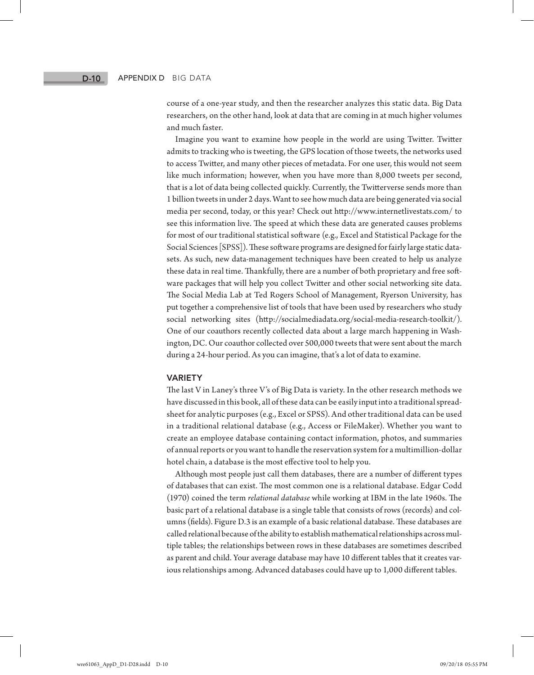course of a one-year study, and then the researcher analyzes this static data. Big Data researchers, on the other hand, look at data that are coming in at much higher volumes and much faster.

Imagine you want to examine how people in the world are using Twitter. Twitter admits to tracking who is tweeting, the GPS location of those tweets, the networks used to access Twitter, and many other pieces of metadata. For one user, this would not seem like much information; however, when you have more than 8,000 tweets per second, that is a lot of data being collected quickly. Currently, the Twitterverse sends more than 1 billion tweets in under 2 days. Want to see how much data are being generated via social media per second, today, or this year? Check out http://www.internetlivestats.com/ to see this information live. The speed at which these data are generated causes problems for most of our traditional statistical software (e.g., Excel and Statistical Package for the Social Sciences [SPSS]). These software programs are designed for fairly large static datasets. As such, new data-management techniques have been created to help us analyze these data in real time. Thankfully, there are a number of both proprietary and free software packages that will help you collect Twitter and other social networking site data. The Social Media Lab at Ted Rogers School of Management, Ryerson University, has put together a comprehensive list of tools that have been used by researchers who study social networking sites (http://socialmediadata.org/social-media-research-toolkit/). One of our coauthors recently collected data about a large march happening in Washington, DC. Our coauthor collected over 500,000 tweets that were sent about the march during a 24-hour period. As you can imagine, that's a lot of data to examine.

#### VARIETY

The last V in Laney's three V's of Big Data is variety. In the other research methods we have discussed in this book, all of these data can be easily input into a traditional spreadsheet for analytic purposes (e.g., Excel or SPSS). And other traditional data can be used in a traditional relational database (e.g., Access or FileMaker). Whether you want to create an employee database containing contact information, photos, and summaries of annual reports or you want to handle the reservation system for a multimillion-dollar hotel chain, a database is the most effective tool to help you.

Although most people just call them databases, there are a number of different types of databases that can exist. The most common one is a relational database. Edgar Codd (1970) coined the term *relational database* while working at IBM in the late 1960s. The basic part of a relational database is a single table that consists of rows (records) and columns (fields). Figure D.3 is an example of a basic relational database. These databases are called relational because of the ability to establish mathematical relationships across multiple tables; the relationships between rows in these databases are sometimes described as parent and child. Your average database may have 10 different tables that it creates various relationships among. Advanced databases could have up to 1,000 different tables.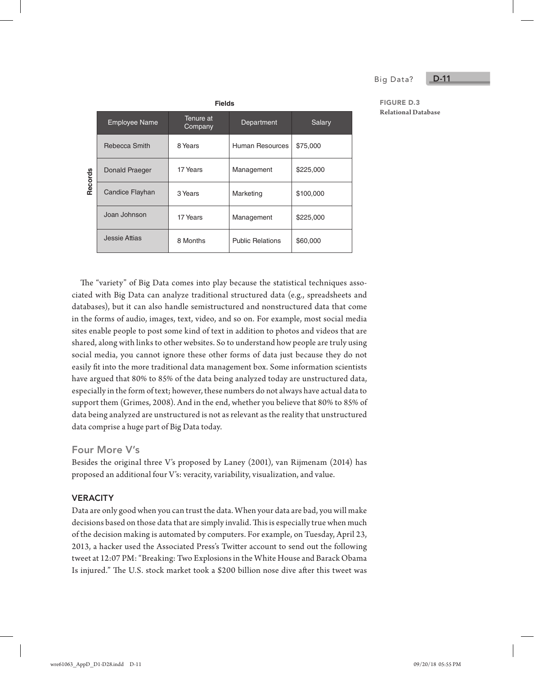#### Big Data?

D-11

#### FIGURE D.3 **Relational Database**

|         | <b>Fields</b>        |                      |                         |           |  |  |  |  |
|---------|----------------------|----------------------|-------------------------|-----------|--|--|--|--|
| Records | <b>Employee Name</b> | Tenure at<br>Company | Department              | Salary    |  |  |  |  |
|         | Rebecca Smith        | 8 Years              | Human Resources         | \$75,000  |  |  |  |  |
|         | Donald Praeger       | 17 Years             | Management              | \$225,000 |  |  |  |  |
|         | Candice Flayhan      | 3 Years              | Marketing               | \$100,000 |  |  |  |  |
|         | Joan Johnson         | 17 Years             | Management              | \$225,000 |  |  |  |  |
|         | <b>Jessie Attias</b> | 8 Months             | <b>Public Relations</b> | \$60,000  |  |  |  |  |

The "variety" of Big Data comes into play because the statistical techniques associated with Big Data can analyze traditional structured data (e.g., spreadsheets and databases), but it can also handle semistructured and nonstructured data that come in the forms of audio, images, text, video, and so on. For example, most social media sites enable people to post some kind of text in addition to photos and videos that are shared, along with links to other websites. So to understand how people are truly using social media, you cannot ignore these other forms of data just because they do not easily fit into the more traditional data management box. Some information scientists have argued that 80% to 85% of the data being analyzed today are unstructured data, especially in the form of text; however, these numbers do not always have actual data to support them (Grimes, 2008). And in the end, whether you believe that 80% to 85% of data being analyzed are unstructured is not as relevant as the reality that unstructured data comprise a huge part of Big Data today.

#### Four More V's

Besides the original three V's proposed by Laney (2001), van Rijmenam (2014) has proposed an additional four V's: veracity, variability, visualization, and value.

#### **VERACITY**

Data are only good when you can trust the data. When your data are bad, you will make decisions based on those data that are simply invalid. This is especially true when much of the decision making is automated by computers. For example, on Tuesday, April 23, 2013, a hacker used the Associated Press's Twitter account to send out the following tweet at 12:07 PM: "Breaking: Two Explosions in the White House and Barack Obama Is injured." The U.S. stock market took a \$200 billion nose dive after this tweet was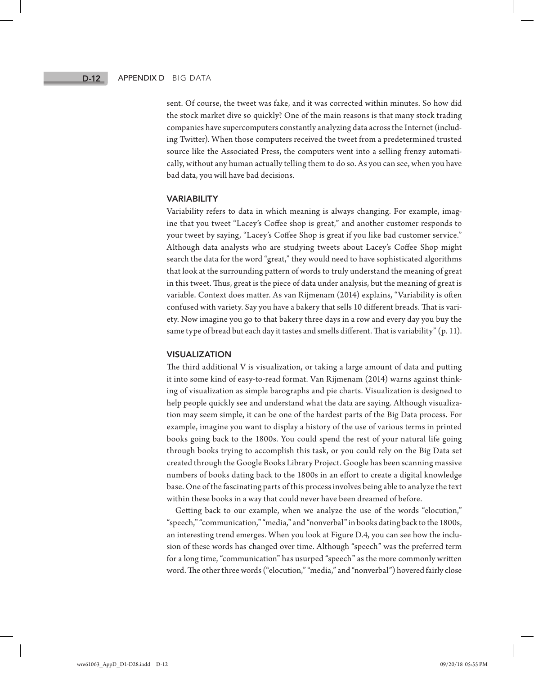#### Appendix D Big Data

sent. Of course, the tweet was fake, and it was corrected within minutes. So how did the stock market dive so quickly? One of the main reasons is that many stock trading companies have supercomputers constantly analyzing data across the Internet (including Twitter). When those computers received the tweet from a predetermined trusted source like the Associated Press, the computers went into a selling frenzy automatically, without any human actually telling them to do so. As you can see, when you have bad data, you will have bad decisions.

#### VARIABILITY

Variability refers to data in which meaning is always changing. For example, imagine that you tweet "Lacey's Coffee shop is great," and another customer responds to your tweet by saying, "Lacey's Coffee Shop is great if you like bad customer service." Although data analysts who are studying tweets about Lacey's Coffee Shop might search the data for the word "great," they would need to have sophisticated algorithms that look at the surrounding pattern of words to truly understand the meaning of great in this tweet. Thus, great is the piece of data under analysis, but the meaning of great is variable. Context does matter. As van Rijmenam (2014) explains, "Variability is often confused with variety. Say you have a bakery that sells 10 different breads. That is variety. Now imagine you go to that bakery three days in a row and every day you buy the same type of bread but each day it tastes and smells different. That is variability" (p. 11).

#### VISUALIZATION

The third additional V is visualization, or taking a large amount of data and putting it into some kind of easy-to-read format. Van Rijmenam (2014) warns against thinking of visualization as simple barographs and pie charts. Visualization is designed to help people quickly see and understand what the data are saying. Although visualization may seem simple, it can be one of the hardest parts of the Big Data process. For example, imagine you want to display a history of the use of various terms in printed books going back to the 1800s. You could spend the rest of your natural life going through books trying to accomplish this task, or you could rely on the Big Data set created through the Google Books Library Project. Google has been scanning massive numbers of books dating back to the 1800s in an effort to create a digital knowledge base. One of the fascinating parts of this process involves being able to analyze the text within these books in a way that could never have been dreamed of before.

Getting back to our example, when we analyze the use of the words "elocution," "speech," "communication," "media," and "nonverbal" in books dating back to the 1800s, an interesting trend emerges. When you look at Figure D.4, you can see how the inclusion of these words has changed over time. Although "speech" was the preferred term for a long time, "communication" has usurped "speech" as the more commonly written word. The other three words ("elocution," "media," and "nonverbal") hovered fairly close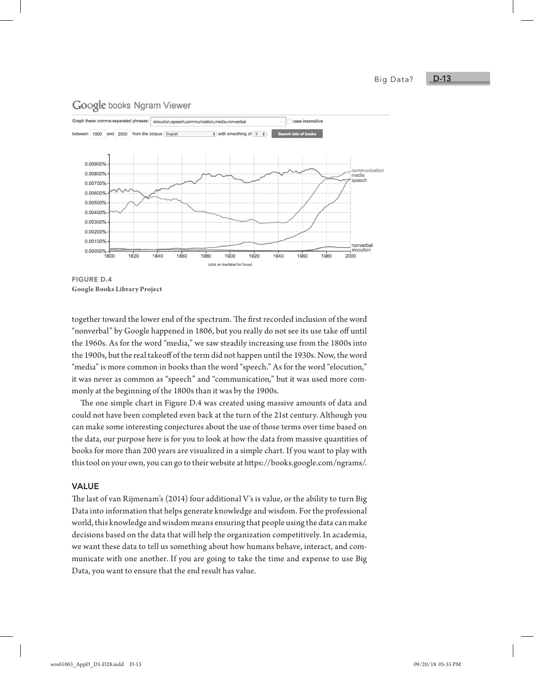Big Data?

#### D-13

#### Google books Ngram Viewer



**Google Books Library Project**

together toward the lower end of the spectrum. The first recorded inclusion of the word "nonverbal" by Google happened in 1806, but you really do not see its use take off until the 1960s. As for the word "media," we saw steadily increasing use from the 1800s into the 1900s, but the real takeoff of the term did not happen until the 1930s. Now, the word "media" is more common in books than the word "speech." As for the word "elocution," it was never as common as "speech" and "communication," but it was used more commonly at the beginning of the 1800s than it was by the 1900s.

The one simple chart in Figure D.4 was created using massive amounts of data and could not have been completed even back at the turn of the 21st century. Although you can make some interesting conjectures about the use of those terms over time based on the data, our purpose here is for you to look at how the data from massive quantities of books for more than 200 years are visualized in a simple chart. If you want to play with this tool on your own, you can go to their website at https://books.google.com/ngrams/.

#### VALUE

The last of van Rijmenam's (2014) four additional V's is value, or the ability to turn Big Data into information that helps generate knowledge and wisdom. For the professional world, this knowledge and wisdom means ensuring that people using the data can make decisions based on the data that will help the organization competitively. In academia, we want these data to tell us something about how humans behave, interact, and communicate with one another. If you are going to take the time and expense to use Big Data, you want to ensure that the end result has value.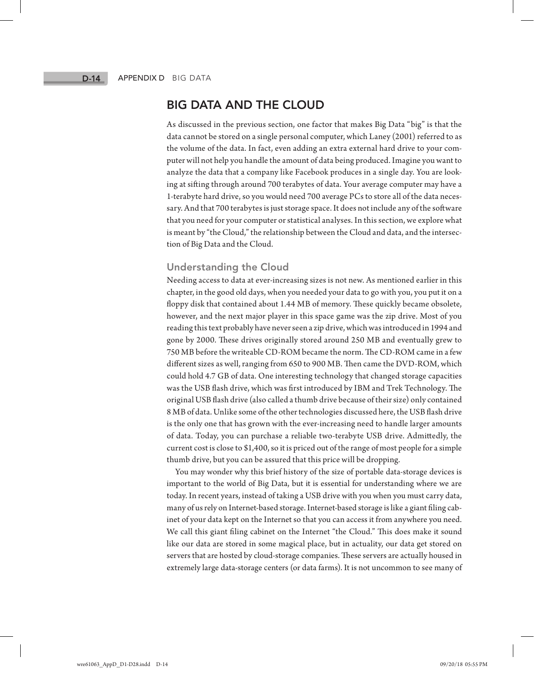# BIG DATA AND THE CLOUD

As discussed in the previous section, one factor that makes Big Data "big" is that the data cannot be stored on a single personal computer, which Laney (2001) referred to as the volume of the data. In fact, even adding an extra external hard drive to your computer will not help you handle the amount of data being produced. Imagine you want to analyze the data that a company like Facebook produces in a single day. You are looking at sifting through around 700 terabytes of data. Your average computer may have a 1-terabyte hard drive, so you would need 700 average PCs to store all of the data necessary. And that 700 terabytes is just storage space. It does not include any of the software that you need for your computer or statistical analyses. In this section, we explore what is meant by "the Cloud," the relationship between the Cloud and data, and the intersection of Big Data and the Cloud.

#### Understanding the Cloud

Needing access to data at ever-increasing sizes is not new. As mentioned earlier in this chapter, in the good old days, when you needed your data to go with you, you put it on a floppy disk that contained about 1.44 MB of memory. These quickly became obsolete, however, and the next major player in this space game was the zip drive. Most of you reading this text probably have never seen a zip drive, which was introduced in 1994 and gone by 2000. These drives originally stored around 250 MB and eventually grew to 750 MB before the writeable CD-ROM became the norm. The CD-ROM came in a few different sizes as well, ranging from 650 to 900 MB. Then came the DVD-ROM, which could hold 4.7 GB of data. One interesting technology that changed storage capacities was the USB flash drive, which was first introduced by IBM and Trek Technology. The original USB flash drive (also called a thumb drive because of their size) only contained 8 MB of data. Unlike some of the other technologies discussed here, the USB flash drive is the only one that has grown with the ever-increasing need to handle larger amounts of data. Today, you can purchase a reliable two-terabyte USB drive. Admittedly, the current cost is close to \$1,400, so it is priced out of the range of most people for a simple thumb drive, but you can be assured that this price will be dropping.

You may wonder why this brief history of the size of portable data-storage devices is important to the world of Big Data, but it is essential for understanding where we are today. In recent years, instead of taking a USB drive with you when you must carry data, many of us rely on Internet-based storage. Internet-based storage is like a giant filing cabinet of your data kept on the Internet so that you can access it from anywhere you need. We call this giant filing cabinet on the Internet "the Cloud." This does make it sound like our data are stored in some magical place, but in actuality, our data get stored on servers that are hosted by cloud-storage companies. These servers are actually housed in extremely large data-storage centers (or data farms). It is not uncommon to see many of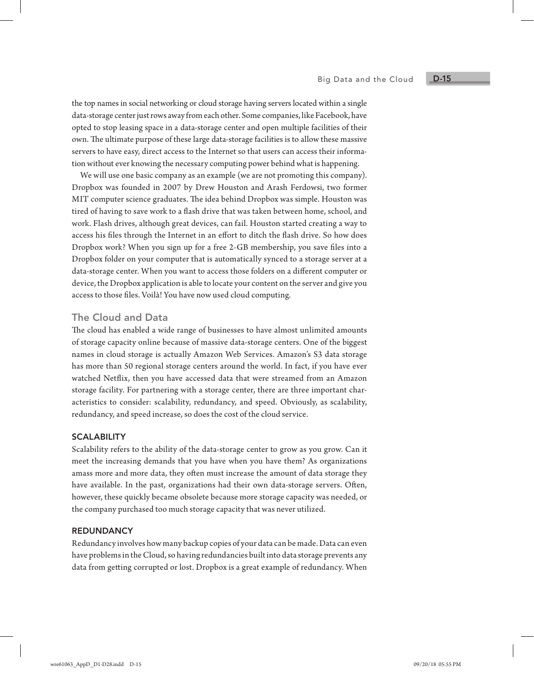the top names in social networking or cloud storage having servers located within a single data-storage center just rows away from each other. Some companies, like Facebook, have opted to stop leasing space in a data-storage center and open multiple facilities of their own. The ultimate purpose of these large data-storage facilities is to allow these massive servers to have easy, direct access to the Internet so that users can access their information without ever knowing the necessary computing power behind what is happening.

We will use one basic company as an example (we are not promoting this company). Dropbox was founded in 2007 by Drew Houston and Arash Ferdowsi, two former MIT computer science graduates. The idea behind Dropbox was simple. Houston was tired of having to save work to a flash drive that was taken between home, school, and work. Flash drives, although great devices, can fail. Houston started creating a way to access his files through the Internet in an effort to ditch the flash drive. So how does Dropbox work? When you sign up for a free 2-GB membership, you save files into a Dropbox folder on your computer that is automatically synced to a storage server at a data-storage center. When you want to access those folders on a different computer or device, the Dropbox application is able to locate your content on the server and give you access to those files. Voilà! You have now used cloud computing.

#### The Cloud and Data

The cloud has enabled a wide range of businesses to have almost unlimited amounts of storage capacity online because of massive data-storage centers. One of the biggest names in cloud storage is actually Amazon Web Services. Amazon's S3 data storage has more than 50 regional storage centers around the world. In fact, if you have ever watched Netflix, then you have accessed data that were streamed from an Amazon storage facility. For partnering with a storage center, there are three important characteristics to consider: scalability, redundancy, and speed. Obviously, as scalability, redundancy, and speed increase, so does the cost of the cloud service.

#### **SCALABILITY**

Scalability refers to the ability of the data-storage center to grow as you grow. Can it meet the increasing demands that you have when you have them? As organizations amass more and more data, they often must increase the amount of data storage they have available. In the past, organizations had their own data-storage servers. Often, however, these quickly became obsolete because more storage capacity was needed, or the company purchased too much storage capacity that was never utilized.

#### **REDUNDANCY**

Redundancy involves how many backup copies of your data can be made. Data can even have problems in the Cloud, so having redundancies built into data storage prevents any data from getting corrupted or lost. Dropbox is a great example of redundancy. When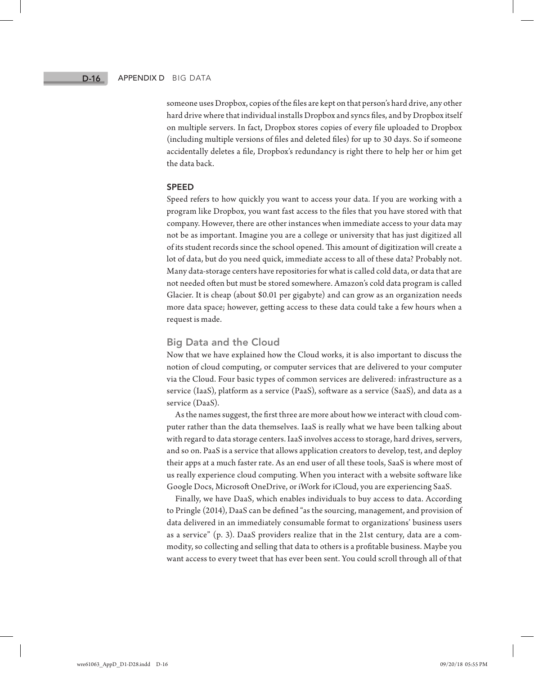#### Appendix D Big Data

someone uses Dropbox, copies of the files are kept on that person's hard drive, any other hard drive where that individual installs Dropbox and syncs files, and by Dropbox itself on multiple servers. In fact, Dropbox stores copies of every file uploaded to Dropbox (including multiple versions of files and deleted files) for up to 30 days. So if someone accidentally deletes a file, Dropbox's redundancy is right there to help her or him get the data back.

#### SPEED

Speed refers to how quickly you want to access your data. If you are working with a program like Dropbox, you want fast access to the files that you have stored with that company. However, there are other instances when immediate access to your data may not be as important. Imagine you are a college or university that has just digitized all of its student records since the school opened. This amount of digitization will create a lot of data, but do you need quick, immediate access to all of these data? Probably not. Many data-storage centers have repositories for what is called cold data, or data that are not needed often but must be stored somewhere. Amazon's cold data program is called Glacier. It is cheap (about \$0.01 per gigabyte) and can grow as an organization needs more data space; however, getting access to these data could take a few hours when a request is made.

#### Big Data and the Cloud

Now that we have explained how the Cloud works, it is also important to discuss the notion of cloud computing, or computer services that are delivered to your computer via the Cloud. Four basic types of common services are delivered: infrastructure as a service (IaaS), platform as a service (PaaS), software as a service (SaaS), and data as a service (DaaS).

As the names suggest, the first three are more about how we interact with cloud computer rather than the data themselves. IaaS is really what we have been talking about with regard to data storage centers. IaaS involves access to storage, hard drives, servers, and so on. PaaS is a service that allows application creators to develop, test, and deploy their apps at a much faster rate. As an end user of all these tools, SaaS is where most of us really experience cloud computing. When you interact with a website software like Google Docs, Microsoft OneDrive, or iWork for iCloud, you are experiencing SaaS.

Finally, we have DaaS, which enables individuals to buy access to data. According to Pringle (2014), DaaS can be defined "as the sourcing, management, and provision of data delivered in an immediately consumable format to organizations' business users as a service" (p. 3). DaaS providers realize that in the 21st century, data are a commodity, so collecting and selling that data to others is a profitable business. Maybe you want access to every tweet that has ever been sent. You could scroll through all of that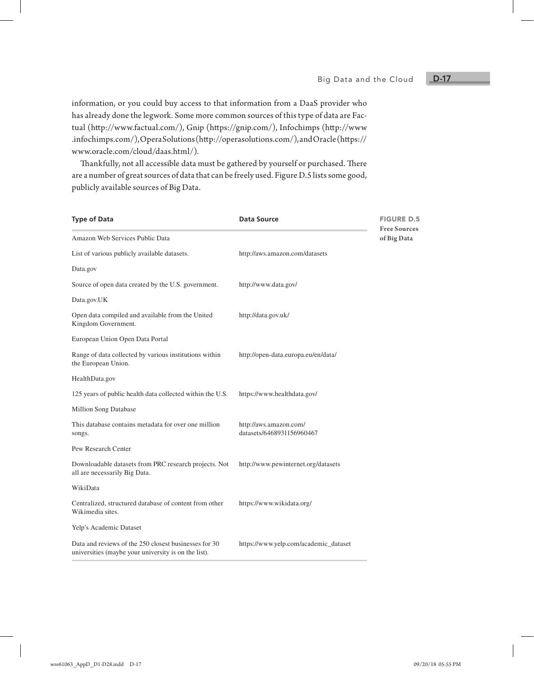#### D-17

information, or you could buy access to that information from a DaaS provider who has already done the legwork. Some more common sources of this type of data are Factual (http://www.factual.com/), Gnip (https://gnip.com/), Infochimps (http://www .infochimps.com/), Opera Solutions (http://operasolutions.com/), and Oracle (https:// www.oracle.com/cloud/daas.html/).

Thankfully, not all accessible data must be gathered by yourself or purchased. There are a number of great sources of data that can be freely used. Figure D.5 lists some good, publicly available sources of Big Data.

| <b>Type of Data</b>                                                                                           | Data Source                                         | <b>FIGURE D.5</b> |
|---------------------------------------------------------------------------------------------------------------|-----------------------------------------------------|-------------------|
| Amazon Web Services Public Data                                                                               | <b>Free Sources</b><br>of Big Data                  |                   |
| List of various publicly available datasets.                                                                  | http://aws.amazon.com/datasets                      |                   |
| Data.gov                                                                                                      |                                                     |                   |
| Source of open data created by the U.S. government.                                                           | http://www.data.gov/                                |                   |
| Data.gov.UK                                                                                                   |                                                     |                   |
| Open data compiled and available from the United<br>Kingdom Government.                                       | http://data.gov.uk/                                 |                   |
| European Union Open Data Portal                                                                               |                                                     |                   |
| Range of data collected by various institutions within<br>the European Union.                                 | http://open-data.europa.eu/en/data/                 |                   |
| HealthData.gov                                                                                                |                                                     |                   |
| 125 years of public health data collected within the U.S.                                                     | https://www.healthdata.gov/                         |                   |
| Million Song Database                                                                                         |                                                     |                   |
| This database contains metadata for over one million<br>songs.                                                | http://aws.amazon.com/<br>datasets/6468931156960467 |                   |
| Pew Research Center                                                                                           |                                                     |                   |
| Downloadable datasets from PRC research projects. Not<br>all are necessarily Big Data.                        | http://www.pewinternet.org/datasets                 |                   |
| WikiData                                                                                                      |                                                     |                   |
| Centralized, structured database of content from other<br>Wikimedia sites.                                    | https://www.wikidata.org/                           |                   |
| Yelp's Academic Dataset                                                                                       |                                                     |                   |
| Data and reviews of the 250 closest businesses for 30<br>universities (maybe your university is on the list). | https://www.yelp.com/academic_dataset               |                   |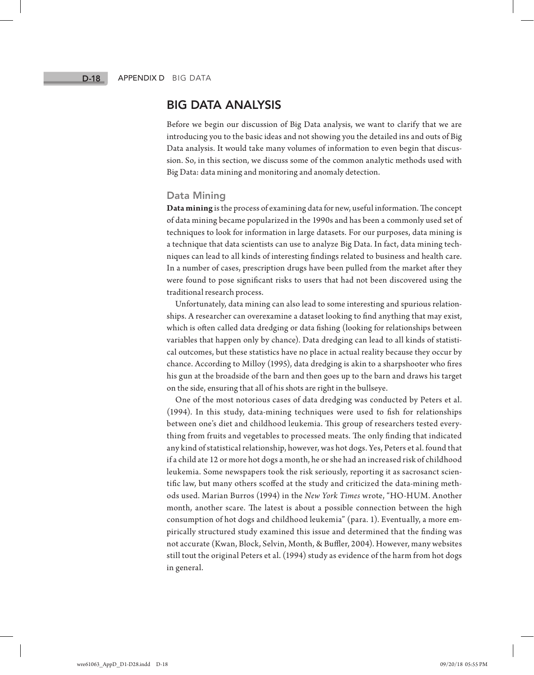# BIG DATA ANALYSIS

Before we begin our discussion of Big Data analysis, we want to clarify that we are introducing you to the basic ideas and not showing you the detailed ins and outs of Big Data analysis. It would take many volumes of information to even begin that discussion. So, in this section, we discuss some of the common analytic methods used with Big Data: data mining and monitoring and anomaly detection.

#### Data Mining

**Data mining** is the process of examining data for new, useful information. The concept of data mining became popularized in the 1990s and has been a commonly used set of techniques to look for information in large datasets. For our purposes, data mining is a technique that data scientists can use to analyze Big Data. In fact, data mining techniques can lead to all kinds of interesting findings related to business and health care. In a number of cases, prescription drugs have been pulled from the market after they were found to pose significant risks to users that had not been discovered using the traditional research process.

Unfortunately, data mining can also lead to some interesting and spurious relationships. A researcher can overexamine a dataset looking to find anything that may exist, which is often called data dredging or data fishing (looking for relationships between variables that happen only by chance). Data dredging can lead to all kinds of statistical outcomes, but these statistics have no place in actual reality because they occur by chance. According to Milloy (1995), data dredging is akin to a sharpshooter who fires his gun at the broadside of the barn and then goes up to the barn and draws his target on the side, ensuring that all of his shots are right in the bullseye.

One of the most notorious cases of data dredging was conducted by Peters et al. (1994). In this study, data-mining techniques were used to fish for relationships between one's diet and childhood leukemia. This group of researchers tested everything from fruits and vegetables to processed meats. The only finding that indicated any kind of statistical relationship, however, was hot dogs. Yes, Peters et al. found that if a child ate 12 or more hot dogs a month, he or she had an increased risk of childhood leukemia. Some newspapers took the risk seriously, reporting it as sacrosanct scientific law, but many others scoffed at the study and criticized the data-mining methods used. Marian Burros (1994) in the *New York Times* wrote, "HO-HUM. Another month, another scare. The latest is about a possible connection between the high consumption of hot dogs and childhood leukemia" (para. 1). Eventually, a more empirically structured study examined this issue and determined that the finding was not accurate (Kwan, Block, Selvin, Month, & Buffler, 2004). However, many websites still tout the original Peters et al. (1994) study as evidence of the harm from hot dogs in general.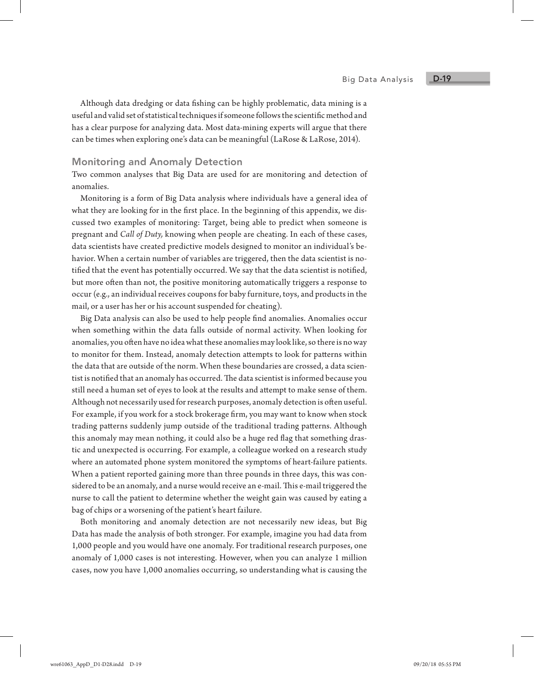Although data dredging or data fishing can be highly problematic, data mining is a useful and valid set of statistical techniques if someone follows the scientific method and has a clear purpose for analyzing data. Most data-mining experts will argue that there can be times when exploring one's data can be meaningful (LaRose & LaRose, 2014).

#### Monitoring and Anomaly Detection

Two common analyses that Big Data are used for are monitoring and detection of anomalies.

Monitoring is a form of Big Data analysis where individuals have a general idea of what they are looking for in the first place. In the beginning of this appendix, we discussed two examples of monitoring: Target, being able to predict when someone is pregnant and *Call of Duty,* knowing when people are cheating. In each of these cases, data scientists have created predictive models designed to monitor an individual's behavior. When a certain number of variables are triggered, then the data scientist is notified that the event has potentially occurred. We say that the data scientist is notified, but more often than not, the positive monitoring automatically triggers a response to occur (e.g., an individual receives coupons for baby furniture, toys, and products in the mail, or a user has her or his account suspended for cheating).

Big Data analysis can also be used to help people find anomalies. Anomalies occur when something within the data falls outside of normal activity. When looking for anomalies, you often have no idea what these anomalies may look like, so there is no way to monitor for them. Instead, anomaly detection attempts to look for patterns within the data that are outside of the norm. When these boundaries are crossed, a data scientist is notified that an anomaly has occurred. The data scientist is informed because you still need a human set of eyes to look at the results and attempt to make sense of them. Although not necessarily used for research purposes, anomaly detection is often useful. For example, if you work for a stock brokerage firm, you may want to know when stock trading patterns suddenly jump outside of the traditional trading patterns. Although this anomaly may mean nothing, it could also be a huge red flag that something drastic and unexpected is occurring. For example, a colleague worked on a research study where an automated phone system monitored the symptoms of heart-failure patients. When a patient reported gaining more than three pounds in three days, this was considered to be an anomaly, and a nurse would receive an e-mail. This e-mail triggered the nurse to call the patient to determine whether the weight gain was caused by eating a bag of chips or a worsening of the patient's heart failure.

Both monitoring and anomaly detection are not necessarily new ideas, but Big Data has made the analysis of both stronger. For example, imagine you had data from 1,000 people and you would have one anomaly. For traditional research purposes, one anomaly of 1,000 cases is not interesting. However, when you can analyze 1 million cases, now you have 1,000 anomalies occurring, so understanding what is causing the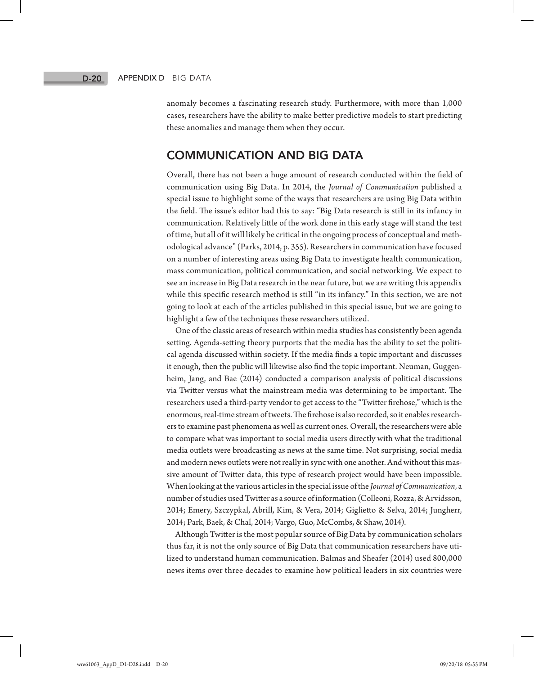anomaly becomes a fascinating research study. Furthermore, with more than 1,000 cases, researchers have the ability to make better predictive models to start predicting these anomalies and manage them when they occur.

# COMMUNICATION AND BIG DATA

Overall, there has not been a huge amount of research conducted within the field of communication using Big Data. In 2014, the *Journal of Communication* published a special issue to highlight some of the ways that researchers are using Big Data within the field. The issue's editor had this to say: "Big Data research is still in its infancy in communication. Relatively little of the work done in this early stage will stand the test of time, but all of it will likely be critical in the ongoing process of conceptual and methodological advance" (Parks, 2014, p. 355). Researchers in communication have focused on a number of interesting areas using Big Data to investigate health communication, mass communication, political communication, and social networking. We expect to see an increase in Big Data research in the near future, but we are writing this appendix while this specific research method is still "in its infancy." In this section, we are not going to look at each of the articles published in this special issue, but we are going to highlight a few of the techniques these researchers utilized.

One of the classic areas of research within media studies has consistently been agenda setting. Agenda-setting theory purports that the media has the ability to set the political agenda discussed within society. If the media finds a topic important and discusses it enough, then the public will likewise also find the topic important. Neuman, Guggenheim, Jang, and Bae (2014) conducted a comparison analysis of political discussions via Twitter versus what the mainstream media was determining to be important. The researchers used a third-party vendor to get access to the "Twitter firehose," which is the enormous, real-time stream of tweets. The firehose is also recorded, so it enables researchers to examine past phenomena as well as current ones. Overall, the researchers were able to compare what was important to social media users directly with what the traditional media outlets were broadcasting as news at the same time. Not surprising, social media and modern news outlets were not really in sync with one another. And without this massive amount of Twitter data, this type of research project would have been impossible. When looking at the various articles in the special issue of the *Journal of Communication*, a number of studies used Twitter as a source of information (Colleoni, Rozza, & Arvidsson, 2014; Emery, Szczypkal, Abrill, Kim, & Vera, 2014; Giglietto & Selva, 2014; Jungherr, 2014; Park, Baek, & Chal, 2014; Vargo, Guo, McCombs, & Shaw, 2014).

Although Twitter is the most popular source of Big Data by communication scholars thus far, it is not the only source of Big Data that communication researchers have utilized to understand human communication. Balmas and Sheafer (2014) used 800,000 news items over three decades to examine how political leaders in six countries were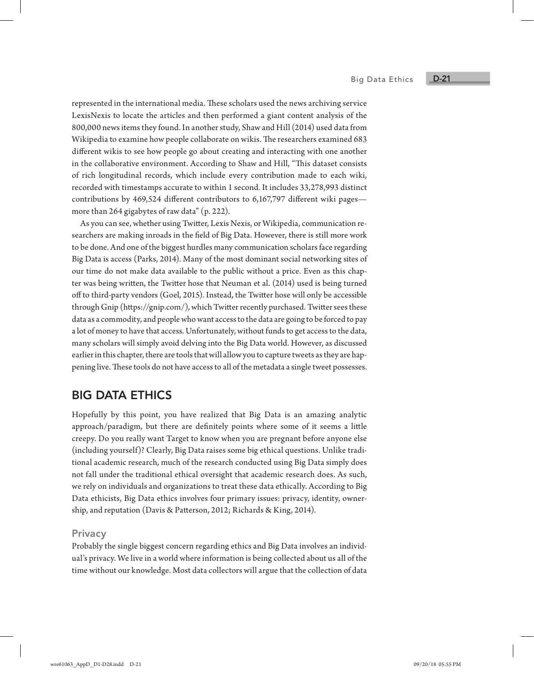#### Big Data Ethics

represented in the international media. These scholars used the news archiving service LexisNexis to locate the articles and then performed a giant content analysis of the 800,000 news items they found. In another study, Shaw and Hill (2014) used data from Wikipedia to examine how people collaborate on wikis. The researchers examined 683 different wikis to see how people go about creating and interacting with one another in the collaborative environment. According to Shaw and Hill, "This dataset consists of rich longitudinal records, which include every contribution made to each wiki, recorded with timestamps accurate to within 1 second. It includes 33,278,993 distinct contributions by 469,524 different contributors to 6,167,797 different wiki pages more than 264 gigabytes of raw data" (p. 222).

As you can see, whether using Twitter, Lexis Nexis, or Wikipedia, communication researchers are making inroads in the field of Big Data. However, there is still more work to be done. And one of the biggest hurdles many communication scholars face regarding Big Data is access (Parks, 2014). Many of the most dominant social networking sites of our time do not make data available to the public without a price. Even as this chapter was being written, the Twitter hose that Neuman et al. (2014) used is being turned off to third-party vendors (Goel, 2015). Instead, the Twitter hose will only be accessible through Gnip (https://gnip.com/), which Twitter recently purchased. Twitter sees these data as a commodity, and people who want access to the data are going to be forced to pay a lot of money to have that access. Unfortunately, without funds to get access to the data, many scholars will simply avoid delving into the Big Data world. However, as discussed earlier in this chapter, there are tools that will allow you to capture tweets as they are happening live. These tools do not have access to all of the metadata a single tweet possesses.

# BIG DATA ETHICS

Hopefully by this point, you have realized that Big Data is an amazing analytic approach/paradigm, but there are definitely points where some of it seems a little creepy. Do you really want Target to know when you are pregnant before anyone else (including yourself)? Clearly, Big Data raises some big ethical questions. Unlike traditional academic research, much of the research conducted using Big Data simply does not fall under the traditional ethical oversight that academic research does. As such, we rely on individuals and organizations to treat these data ethically. According to Big Data ethicists, Big Data ethics involves four primary issues: privacy, identity, ownership, and reputation (Davis & Patterson, 2012; Richards & King, 2014).

#### **Privacy**

Probably the single biggest concern regarding ethics and Big Data involves an individual's privacy. We live in a world where information is being collected about us all of the time without our knowledge. Most data collectors will argue that the collection of data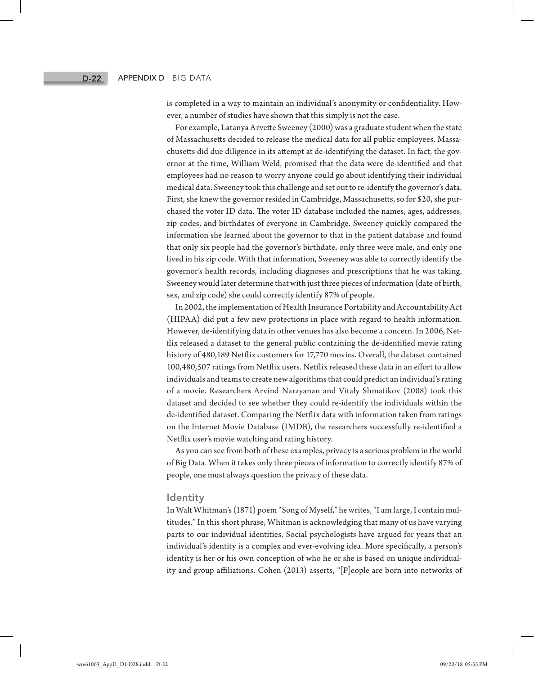is completed in a way to maintain an individual's anonymity or confidentiality. However, a number of studies have shown that this simply is not the case.

For example, Latanya Arvette Sweeney (2000) was a graduate student when the state of Massachusetts decided to release the medical data for all public employees. Massachusetts did due diligence in its attempt at de-identifying the dataset. In fact, the governor at the time, William Weld, promised that the data were de-identified and that employees had no reason to worry anyone could go about identifying their individual medical data. Sweeney took this challenge and set out to re-identify the governor's data. First, she knew the governor resided in Cambridge, Massachusetts, so for \$20, she purchased the voter ID data. The voter ID database included the names, ages, addresses, zip codes, and birthdates of everyone in Cambridge. Sweeney quickly compared the information she learned about the governor to that in the patient database and found that only six people had the governor's birthdate, only three were male, and only one lived in his zip code. With that information, Sweeney was able to correctly identify the governor's health records, including diagnoses and prescriptions that he was taking. Sweeney would later determine that with just three pieces of information (date of birth, sex, and zip code) she could correctly identify 87% of people.

In 2002, the implementation of Health Insurance Portability and Accountability Act (HIPAA) did put a few new protections in place with regard to health information. However, de-identifying data in other venues has also become a concern. In 2006, Netflix released a dataset to the general public containing the de-identified movie rating history of 480,189 Netflix customers for 17,770 movies. Overall, the dataset contained 100,480,507 ratings from Netflix users. Netflix released these data in an effort to allow individuals and teams to create new algorithms that could predict an individual's rating of a movie. Researchers Arvind Narayanan and Vitaly Shmatikov (2008) took this dataset and decided to see whether they could re-identify the individuals within the de-identified dataset. Comparing the Netflix data with information taken from ratings on the Internet Movie Database (IMDB), the researchers successfully re-identified a Netflix user's movie watching and rating history.

As you can see from both of these examples, privacy is a serious problem in the world of Big Data. When it takes only three pieces of information to correctly identify 87% of people, one must always question the privacy of these data.

#### Identity

In Walt Whitman's (1871) poem "Song of Myself," he writes, "I am large, I contain multitudes." In this short phrase, Whitman is acknowledging that many of us have varying parts to our individual identities. Social psychologists have argued for years that an individual's identity is a complex and ever-evolving idea. More specifically, a person's identity is her or his own conception of who he or she is based on unique individuality and group affiliations. Cohen (2013) asserts, "[P]eople are born into networks of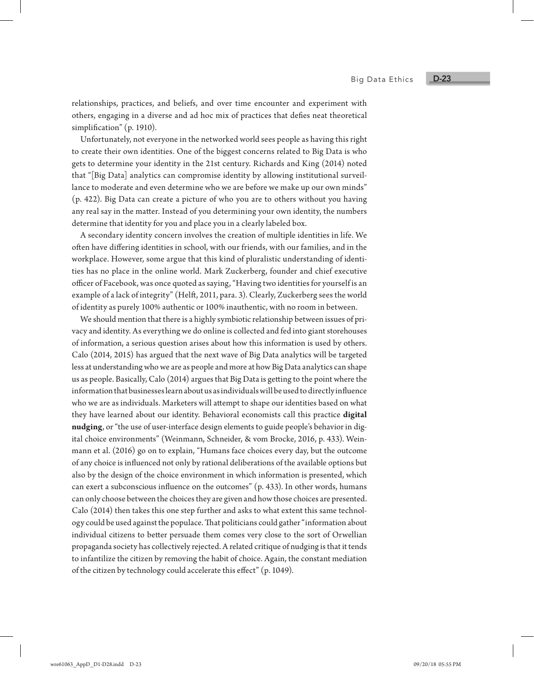relationships, practices, and beliefs, and over time encounter and experiment with others, engaging in a diverse and ad hoc mix of practices that defies neat theoretical simplification" (p. 1910).

Unfortunately, not everyone in the networked world sees people as having this right to create their own identities. One of the biggest concerns related to Big Data is who gets to determine your identity in the 21st century. Richards and King (2014) noted that "[Big Data] analytics can compromise identity by allowing institutional surveillance to moderate and even determine who we are before we make up our own minds" (p. 422). Big Data can create a picture of who you are to others without you having any real say in the matter. Instead of you determining your own identity, the numbers determine that identity for you and place you in a clearly labeled box.

A secondary identity concern involves the creation of multiple identities in life. We often have differing identities in school, with our friends, with our families, and in the workplace. However, some argue that this kind of pluralistic understanding of identities has no place in the online world. Mark Zuckerberg, founder and chief executive officer of Facebook, was once quoted as saying, "Having two identities for yourself is an example of a lack of integrity" (Helft, 2011, para. 3). Clearly, Zuckerberg sees the world of identity as purely 100% authentic or 100% inauthentic, with no room in between.

We should mention that there is a highly symbiotic relationship between issues of privacy and identity. As everything we do online is collected and fed into giant storehouses of information, a serious question arises about how this information is used by others. Calo (2014, 2015) has argued that the next wave of Big Data analytics will be targeted less at understanding who we are as people and more at how Big Data analytics can shape us as people. Basically, Calo (2014) argues that Big Data is getting to the point where the information that businesses learn about us as individuals will be used to directly influence who we are as individuals. Marketers will attempt to shape our identities based on what they have learned about our identity. Behavioral economists call this practice **digital nudging**, or "the use of user-interface design elements to guide people's behavior in digital choice environments" (Weinmann, Schneider, & vom Brocke, 2016, p. 433). Weinmann et al. (2016) go on to explain, "Humans face choices every day, but the outcome of any choice is influenced not only by rational deliberations of the available options but also by the design of the choice environment in which information is presented, which can exert a subconscious influence on the outcomes" (p. 433). In other words, humans can only choose between the choices they are given and how those choices are presented. Calo (2014) then takes this one step further and asks to what extent this same technology could be used against the populace. That politicians could gather "information about individual citizens to better persuade them comes very close to the sort of Orwellian propaganda society has collectively rejected. A related critique of nudging is that it tends to infantilize the citizen by removing the habit of choice. Again, the constant mediation of the citizen by technology could accelerate this effect" (p. 1049).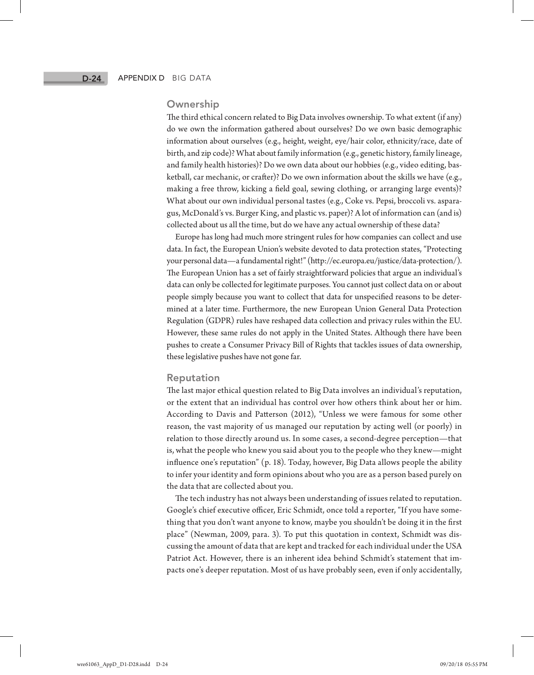#### **Ownership**

The third ethical concern related to Big Data involves ownership. To what extent (if any) do we own the information gathered about ourselves? Do we own basic demographic information about ourselves (e.g., height, weight, eye/hair color, ethnicity/race, date of birth, and zip code)? What about family information (e.g., genetic history, family lineage, and family health histories)? Do we own data about our hobbies (e.g., video editing, basketball, car mechanic, or crafter)? Do we own information about the skills we have (e.g., making a free throw, kicking a field goal, sewing clothing, or arranging large events)? What about our own individual personal tastes (e.g., Coke vs. Pepsi, broccoli vs. asparagus, McDonald's vs. Burger King, and plastic vs. paper)? A lot of information can (and is) collected about us all the time, but do we have any actual ownership of these data?

Europe has long had much more stringent rules for how companies can collect and use data. In fact, the European Union's website devoted to data protection states, "Protecting your personal data—a fundamental right!" (http://ec.europa.eu/justice/data-protection/). The European Union has a set of fairly straightforward policies that argue an individual's data can only be collected for legitimate purposes. You cannot just collect data on or about people simply because you want to collect that data for unspecified reasons to be determined at a later time. Furthermore, the new European Union General Data Protection Regulation (GDPR) rules have reshaped data collection and privacy rules within the EU. However, these same rules do not apply in the United States. Although there have been pushes to create a Consumer Privacy Bill of Rights that tackles issues of data ownership, these legislative pushes have not gone far.

#### Reputation

The last major ethical question related to Big Data involves an individual's reputation, or the extent that an individual has control over how others think about her or him. According to Davis and Patterson (2012), "Unless we were famous for some other reason, the vast majority of us managed our reputation by acting well (or poorly) in relation to those directly around us. In some cases, a second-degree perception—that is, what the people who knew you said about you to the people who they knew—might influence one's reputation" (p. 18). Today, however, Big Data allows people the ability to infer your identity and form opinions about who you are as a person based purely on the data that are collected about you.

The tech industry has not always been understanding of issues related to reputation. Google's chief executive officer, Eric Schmidt, once told a reporter, "If you have something that you don't want anyone to know, maybe you shouldn't be doing it in the first place" (Newman, 2009, para. 3). To put this quotation in context, Schmidt was discussing the amount of data that are kept and tracked for each individual under the USA Patriot Act. However, there is an inherent idea behind Schmidt's statement that impacts one's deeper reputation. Most of us have probably seen, even if only accidentally,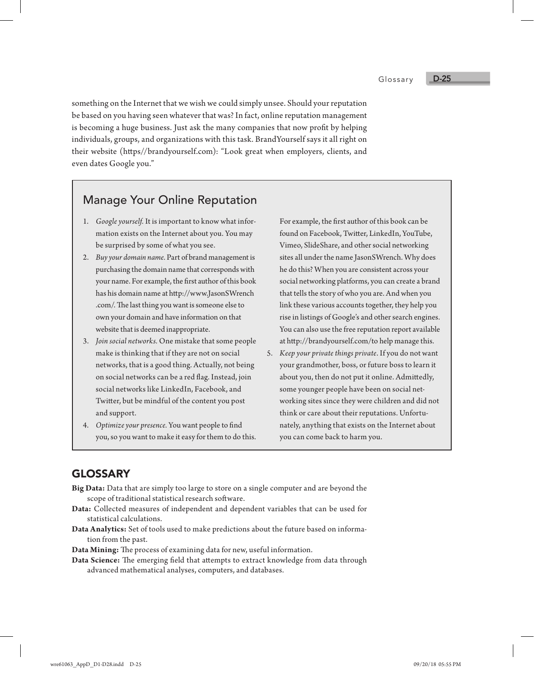Glossary

something on the Internet that we wish we could simply unsee. Should your reputation be based on you having seen whatever that was? In fact, online reputation management is becoming a huge business. Just ask the many companies that now profit by helping individuals, groups, and organizations with this task. BrandYourself says it all right on their website (https//brandyourself.com): "Look great when employers, clients, and even dates Google you."

# Manage Your Online Reputation

- 1. *Google yourself.* It is important to know what information exists on the Internet about you. You may be surprised by some of what you see.
- 2. *Buy your domain name.* Part of brand management is purchasing the domain name that corresponds with your name. For example, the first author of this book has his domain name at http://www.JasonSWrench .com/. The last thing you want is someone else to own your domain and have information on that website that is deemed inappropriate.
- 3. *Join social networks.* One mistake that some people make is thinking that if they are not on social networks, that is a good thing. Actually, not being on social networks can be a red flag. Instead, join social networks like LinkedIn, Facebook, and Twitter, but be mindful of the content you post and support.
- 4. *Optimize your presence.* You want people to find you, so you want to make it easy for them to do this.

For example, the first author of this book can be found on Facebook, Twitter, LinkedIn, YouTube, Vimeo, SlideShare, and other social networking sites all under the name JasonSWrench. Why does he do this? When you are consistent across your social networking platforms, you can create a brand that tells the story of who you are. And when you link these various accounts together, they help you rise in listings of Google's and other search engines. You can also use the free reputation report available at http://brandyourself.com/to help manage this.

5. *Keep your private things private*. If you do not want your grandmother, boss, or future boss to learn it about you, then do not put it online. Admittedly, some younger people have been on social networking sites since they were children and did not think or care about their reputations. Unfortunately, anything that exists on the Internet about you can come back to harm you.

# GLOSSARY

- **Big Data:** Data that are simply too large to store on a single computer and are beyond the scope of traditional statistical research software.
- **Data:** Collected measures of independent and dependent variables that can be used for statistical calculations.
- **Data Analytics:** Set of tools used to make predictions about the future based on information from the past.
- **Data Mining:** The process of examining data for new, useful information.
- **Data Science:** The emerging field that attempts to extract knowledge from data through advanced mathematical analyses, computers, and databases.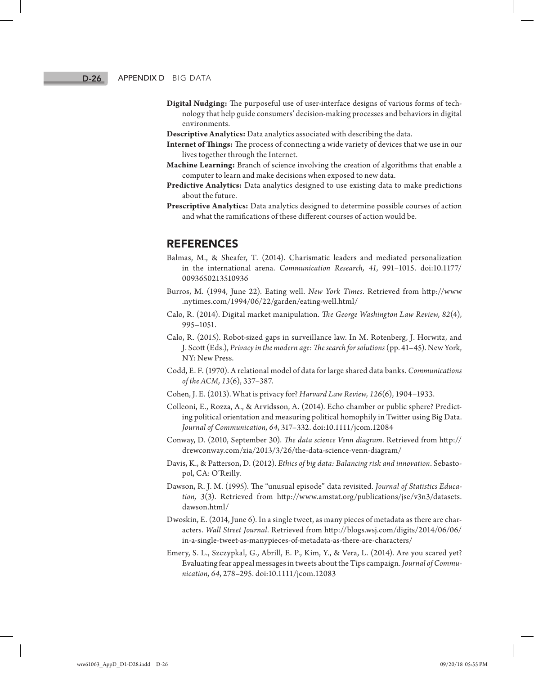- **Digital Nudging:** The purposeful use of user-interface designs of various forms of technology that help guide consumers' decision-making processes and behaviors in digital environments.
- **Descriptive Analytics:** Data analytics associated with describing the data.
- **Internet of Things:** The process of connecting a wide variety of devices that we use in our lives together through the Internet.
- **Machine Learning:** Branch of science involving the creation of algorithms that enable a computer to learn and make decisions when exposed to new data.
- **Predictive Analytics:** Data analytics designed to use existing data to make predictions about the future.
- **Prescriptive Analytics:** Data analytics designed to determine possible courses of action and what the ramifications of these different courses of action would be.

#### REFERENCES

- Balmas, M., & Sheafer, T. (2014). Charismatic leaders and mediated personalization in the international arena. *Communication Research, 41*, 991–1015. doi:10.1177/ 0093650213510936
- Burros, M. (1994, June 22). Eating well. *New York Times*. Retrieved from http://www .nytimes.com/1994/06/22/garden/eating-well.html/
- Calo, R. (2014). Digital market manipulation. *The George Washington Law Review, 82*(4), 995–1051.
- Calo, R. (2015). Robot-sized gaps in surveillance law. In M. Rotenberg, J. Horwitz, and J. Scott (Eds.), *Privacy in the modern age: The search for solutions* (pp. 41–45). New York, NY: New Press.
- Codd, E. F. (1970). A relational model of data for large shared data banks. *Communications of the ACM, 13*(6), 337–387.
- Cohen, J. E. (2013). What is privacy for? *Harvard Law Review, 126*(6), 1904–1933.
- Colleoni, E., Rozza, A., & Arvidsson, A. (2014). Echo chamber or public sphere? Predicting political orientation and measuring political homophily in Twitter using Big Data. *Journal of Communication, 64*, 317–332. doi:10.1111/jcom.12084
- Conway, D. (2010, September 30). *The data science Venn diagram*. Retrieved from http:// drewconway.com/zia/2013/3/26/the-data-science-venn-diagram/
- Davis, K., & Patterson, D. (2012). *Ethics of big data: Balancing risk and innovation*. Sebastopol, CA: O'Reilly.
- Dawson, R. J. M. (1995). The "unusual episode" data revisited. *Journal of Statistics Education, 3*(3). Retrieved from http://www.amstat.org/publications/jse/v3n3/datasets. dawson.html/
- Dwoskin, E. (2014, June 6). In a single tweet, as many pieces of metadata as there are characters. *Wall Street Journal*. Retrieved from http://blogs.wsj.com/digits/2014/06/06/ in-a-single-tweet-as-manypieces-of-metadata-as-there-are-characters/
- Emery, S. L., Szczypkal, G., Abrill, E. P., Kim, Y., & Vera, L. (2014). Are you scared yet? Evaluating fear appeal messages in tweets about the Tips campaign. *Journal of Communication, 64*, 278–295. doi:10.1111/jcom.12083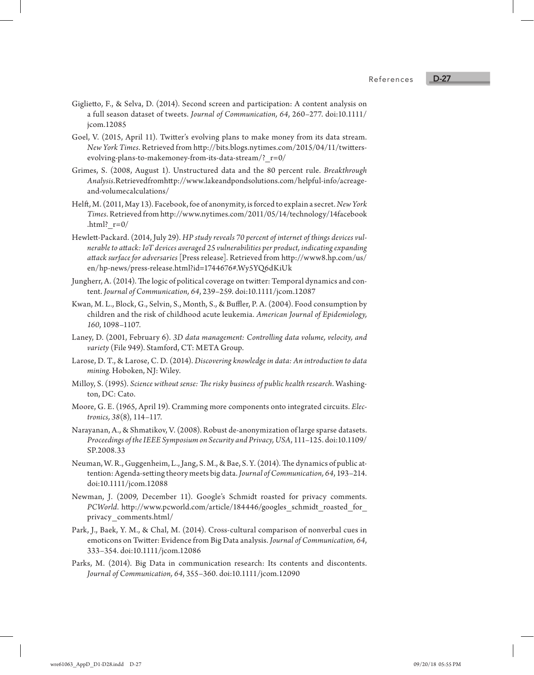#### References

- Giglietto, F., & Selva, D. (2014). Second screen and participation: A content analysis on a full season dataset of tweets. *Journal of Communication, 64*, 260–277. doi:10.1111/ jcom.12085
- Goel, V. (2015, April 11). Twitter's evolving plans to make money from its data stream. *New York Times*. Retrieved from http://bits.blogs.nytimes.com/2015/04/11/twittersevolving-plans-to-makemoney-from-its-data-stream/?\_r=0/
- Grimes, S. (2008, August 1). Unstructured data and the 80 percent rule. *Breakthrough Analysis*. Retrieved from http://www.lakeandpondsolutions.com/helpful-info/acreageand-volumecalculations/
- Helft, M. (2011, May 13). Facebook, foe of anonymity, is forced to explain a secret. *New York Times*. Retrieved from http://www.nytimes.com/2011/05/14/technology/14facebook .html?  $r=0/$
- Hewlett-Packard. (2014, July 29). *HP study reveals 70 percent of internet of things devices vulnerable to attack: IoT devices averaged 25 vulnerabilities per product, indicating expanding attack surface for adversaries* [Press release]. Retrieved from http://www8.hp.com/us/ en/hp-news/press-release.html?id=1744676#.Wy5YQ6dKiUk
- Jungherr, A. (2014). The logic of political coverage on twitter: Temporal dynamics and content. *Journal of Communication, 64*, 239–259. doi:10.1111/jcom.12087
- Kwan, M. L., Block, G., Selvin, S., Month, S., & Buffler, P. A. (2004). Food consumption by children and the risk of childhood acute leukemia. *American Journal of Epidemiology, 160*, 1098–1107.
- Laney, D. (2001, February 6). *3D data management: Controlling data volume, velocity, and variety* (File 949). Stamford, CT: META Group.
- Larose, D. T., & Larose, C. D. (2014). *Discovering knowledge in data: An introduction to data mining*. Hoboken, NJ: Wiley.
- Milloy, S. (1995). *Science without sense: The risky business of public health research*. Washington, DC: Cato.
- Moore, G. E. (1965, April 19). Cramming more components onto integrated circuits. *Electronics, 38*(8), 114–117.
- Narayanan, A., & Shmatikov, V. (2008). Robust de-anonymization of large sparse datasets. *Proceedings of the IEEE Symposium on Security and Privacy, USA*, 111–125. doi:10.1109/ SP.2008.33
- Neuman, W. R., Guggenheim, L., Jang, S. M., & Bae, S. Y. (2014). The dynamics of public attention: Agenda-setting theory meets big data. *Journal of Communication, 64*, 193–214. doi:10.1111/jcom.12088
- Newman, J. (2009, December 11). Google's Schmidt roasted for privacy comments. *PCWorld*. http://www.pcworld.com/article/184446/googles\_schmidt\_roasted\_for\_ privacy\_comments.html/
- Park, J., Baek, Y. M., & Chal, M. (2014). Cross-cultural comparison of nonverbal cues in emoticons on Twitter: Evidence from Big Data analysis. *Journal of Communication, 64*, 333–354. doi:10.1111/jcom.12086
- Parks, M. (2014). Big Data in communication research: Its contents and discontents. *Journal of Communication, 64*, 355–360. doi:10.1111/jcom.12090